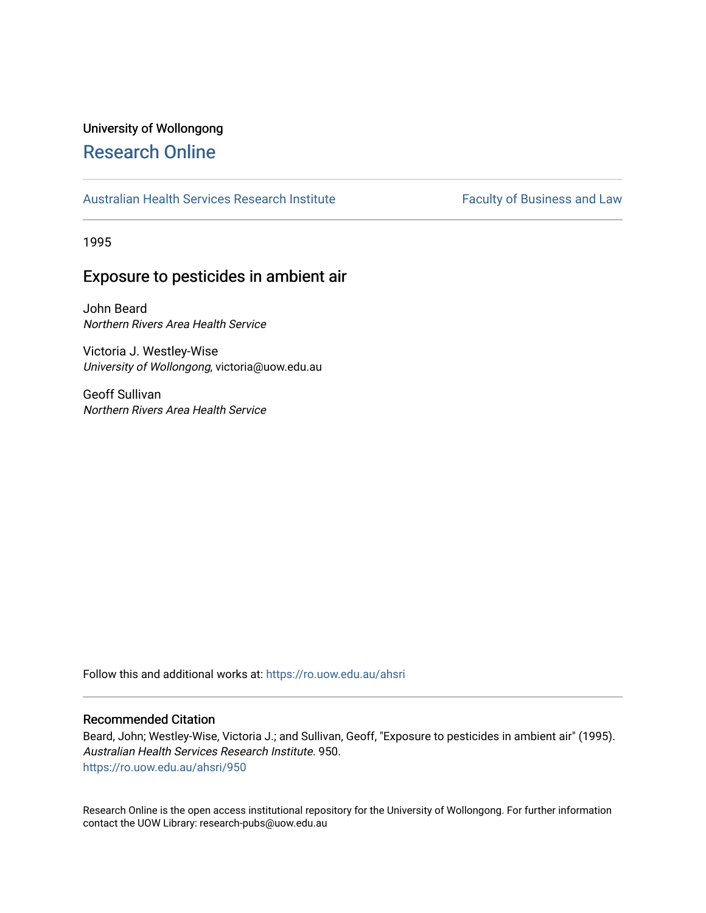# University of Wollongong [Research Online](https://ro.uow.edu.au/)

## [Australian Health Services Research Institute](https://ro.uow.edu.au/ahsri) Faculty of Business and Law

1995

# Exposure to pesticides in ambient air

John Beard Northern Rivers Area Health Service

Victoria J. Westley-Wise University of Wollongong, victoria@uow.edu.au

Geoff Sullivan Northern Rivers Area Health Service

Follow this and additional works at: [https://ro.uow.edu.au/ahsri](https://ro.uow.edu.au/ahsri?utm_source=ro.uow.edu.au%2Fahsri%2F950&utm_medium=PDF&utm_campaign=PDFCoverPages) 

## Recommended Citation

Beard, John; Westley-Wise, Victoria J.; and Sullivan, Geoff, "Exposure to pesticides in ambient air" (1995). Australian Health Services Research Institute. 950. [https://ro.uow.edu.au/ahsri/950](https://ro.uow.edu.au/ahsri/950?utm_source=ro.uow.edu.au%2Fahsri%2F950&utm_medium=PDF&utm_campaign=PDFCoverPages) 

Research Online is the open access institutional repository for the University of Wollongong. For further information contact the UOW Library: research-pubs@uow.edu.au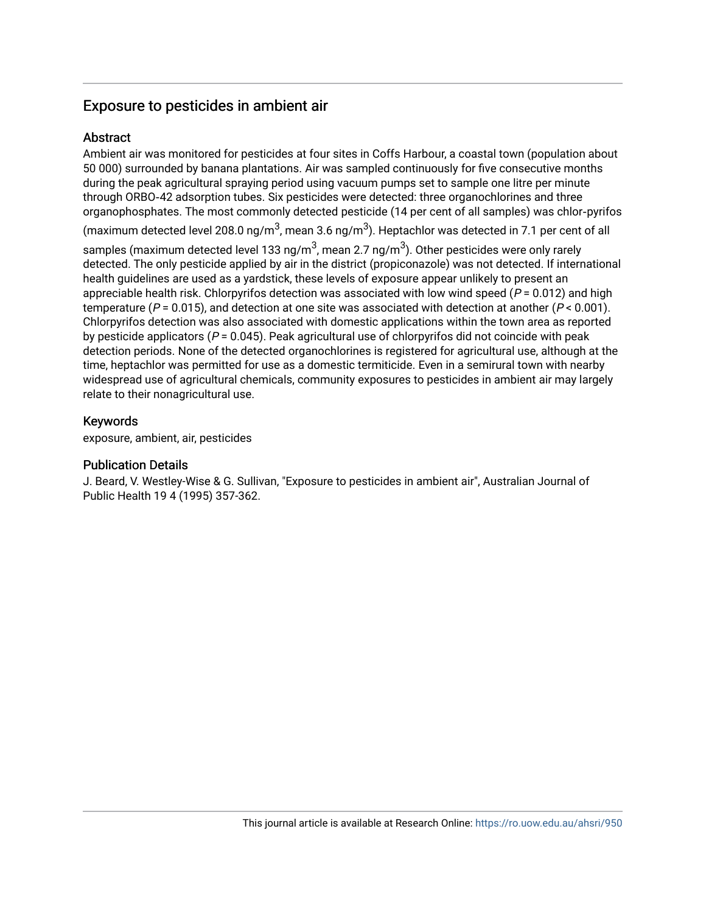# Exposure to pesticides in ambient air

# **Abstract**

Ambient air was monitored for pesticides at four sites in Coffs Harbour, a coastal town (population about 50 000) surrounded by banana plantations. Air was sampled continuously for five consecutive months during the peak agricultural spraying period using vacuum pumps set to sample one litre per minute through ORBO‐42 adsorption tubes. Six pesticides were detected: three organochlorines and three organophosphates. The most commonly detected pesticide (14 per cent of all samples) was chlor‐pyrifos (maximum detected level 208.0 ng/m $^3$ , mean 3.6 ng/m $^3$ ). Heptachlor was detected in 7.1 per cent of all

samples (maximum detected level 133 ng/m $^3$ , mean 2.7 ng/m $^3$ ). Other pesticides were only rarely detected. The only pesticide applied by air in the district (propiconazole) was not detected. If international health guidelines are used as a yardstick, these levels of exposure appear unlikely to present an appreciable health risk. Chlorpyrifos detection was associated with low wind speed ( $P = 0.012$ ) and high temperature ( $P = 0.015$ ), and detection at one site was associated with detection at another ( $P < 0.001$ ). Chlorpyrifos detection was also associated with domestic applications within the town area as reported by pesticide applicators ( $P = 0.045$ ). Peak agricultural use of chlorpyrifos did not coincide with peak detection periods. None of the detected organochlorines is registered for agricultural use, although at the time, heptachlor was permitted for use as a domestic termiticide. Even in a semirural town with nearby widespread use of agricultural chemicals, community exposures to pesticides in ambient air may largely relate to their nonagricultural use.

## Keywords

exposure, ambient, air, pesticides

## Publication Details

J. Beard, V. Westley-Wise & G. Sullivan, "Exposure to pesticides in ambient air", Australian Journal of Public Health 19 4 (1995) 357-362.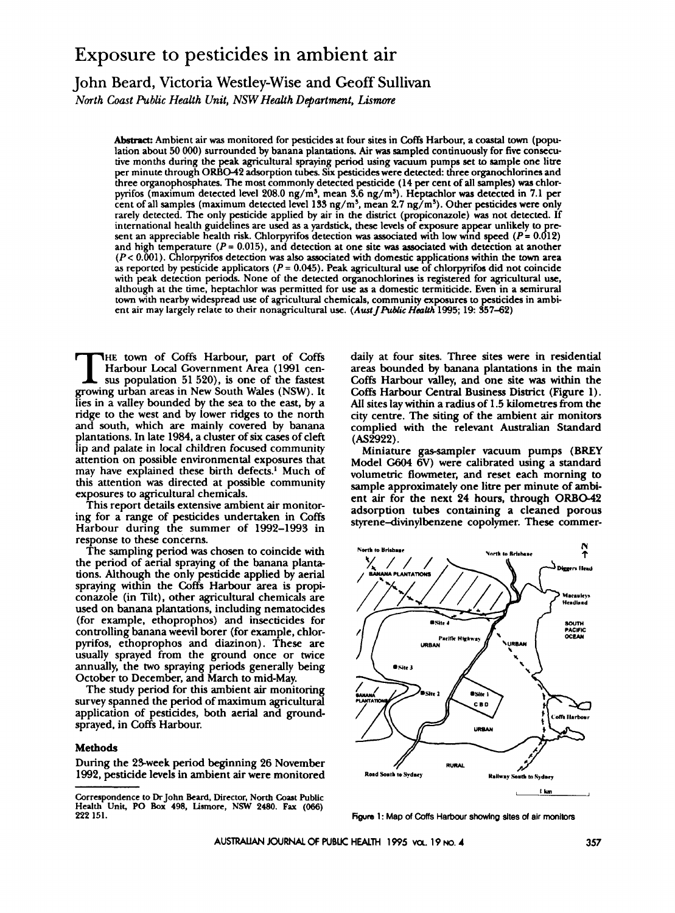# Exposure to pesticides in ambient air

# John Beard, Victoria Westley-Wise and Geoff Sullivan

*North Coast Public Health Unit, NSW Health Department, Lismore* 

*Abstmct* Ambient air **was** monitored for pesticides at four sites in **Coffs** Harbour, a coastal **town** (population about 50 *OOO)* surrounded by banana plantations. Air **was** sampled continuously for **five** consecutive months during the peak agricultural spraying period using vacuum pumps set to sample **one** litre **per** minute through **ORB042** adsorption tubes. **Six** pesticides were detected three organochlorines and three organophosphates. The most commonly detected pesticide **(14** per cent of all samples) **waa** chlorpyrifos (maximum detected level 208.0 ng/m', mean **3.6** ng/m'). Heptachlor **was** detected in **7.1** per cent of all samples (maximum detected level **133** ng/m5, mean **2.7** ng/ms). Other pesticides were only rarely detected. The only pesticide applied by air in the district (propiconazole) **was** not detected. If international health guidelines are used as a yardstick, these levels of exposure appear unlikely to present an appreciable health risk. Chlorpyrifos detection was associated with low wind speed  $(P = 0.012)$ and high temperature *(P=* **0.015),** and detection at one site **was** associated with detection at another *(P<* **0.001).** Chlorpyrifos detection **was** also associated with domestic applications within the **town** area **as** reported by pesticide applicators *(P* = **0.045).** Peak agricultural use of chlorpyrifos did not coincide with peak detection periods. None of the detected organochlorines is registered for agricultural use, although at the time, heptachlor **was** permitted for use **as** a domestic termiticide. Even in a semirural town with nearby widespread use of agricultural chemicals, community **exposures** to pesticides in ambient air may largely relate to their nonagricultural use. (Aust J Public Health 1995; 19: 357-62)

HE town of Coffs Harbour, part of **Coffs** T Harbour Local Government Area (1991 cen**sus** population 51 520), is one of the fastest growing urban areas in New South Wales (NSW). It lies in a valley bounded by the sea to the east, by a ridge to the west and by lower ridges to the north and south, which are mainly covered by banana plantations. In late 1984, a cluster of **six** cases of cleft lip and palate in local children focused community attention on possible environmental exposures that may have explained these birth defects.' Much of this attention was directed at possible community exposures to agricultural chemicals.

This report details extensive ambient air monitoring for a range of pesticides undertaken in Coffs Harbour during the summer of 1992-1993 in response to these concerns.

The sampling period was chosen to coincide with the period of aerial spraying of the banana plantations. Although the only pesticide applied by aerial spraying within the **Coffs** Harbour area is propiconazole (in Tilt), other agricultural chemicals are used on banana plantations, including nematocides (for example, ethoprophos) and insecticides for controlling banana weevil borer (for example, chlorpyrifos, ethoprophos and diazinon). These are usually sprayed from the ground once or twice annually, the two spraying periods generally being October to December, and March to mid-May.

The study period for this ambient **air** monitoring survey spanned the period of maximum agricultural application of pesticides, both aerial and groundsprayed, in Coffs Harbour.

#### **Methods**

During the 2Sweek period beginning 26 November 1992, pesticide levels in ambient air were monitored

daily at four sites. Three sites were in residential areas bounded **by** banana plantations in the main **Coffs** Harbour valley, and one site **was** within the **Coffs** Harbour Central Business District (Figure **1).**  All sites lay within a radius of 1.5 kilometres from the city centre. The siting of the ambient air monitors complied with the relevant Australian Standard  $(AS<sub>2</sub>922)$ .

Miniature gas-sampler vacuum pumps **(BREY**  Model *G604* 6V) were calibrated using a standard volumetric flowmeter, and reset each morning to sample approximately one litre **per** minute of ambient air for the next 24 hours, through ORB042 adsorption tubes containing a cleaned porous styrene-divinylbenzene copolymer. These commer-



Figure 1: Map of Coffs Harbour showing sites of air monitors

**Correspondence to Dr** John **Beard. Director,** North **Coast Public Health Unit, PO Box 498, Lismore, NSW 2480. Fax (066) 222 151.**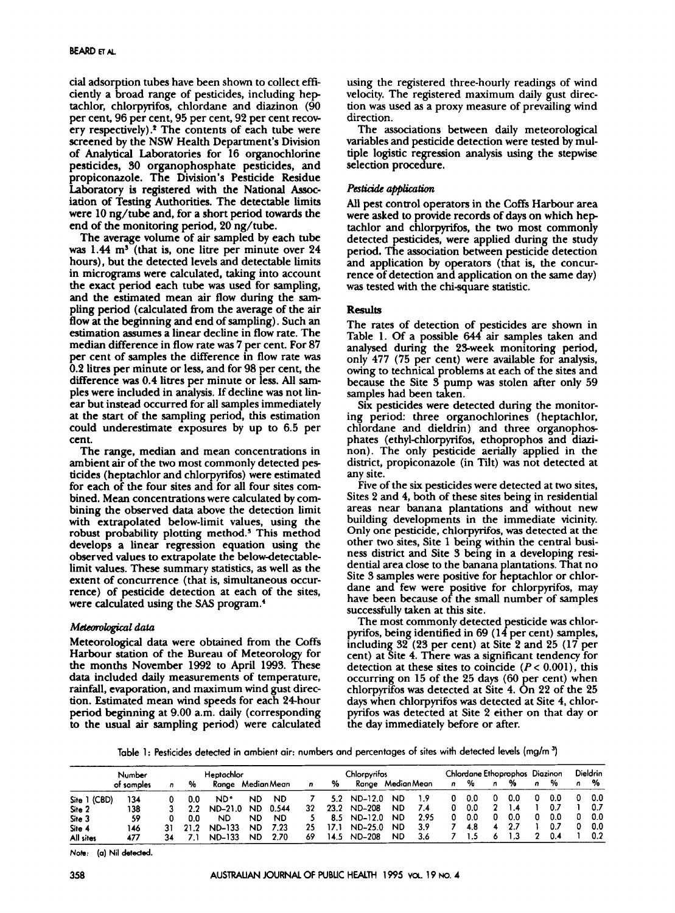cial adsorption tubes have been shown to collect efficiently a broad range of pesticides, including hep tachlor, chlorpyrifos, chlordane and diazinon (90 per cent, 96 per cent, 95 per cent, 92 per cent recovery respectively).<sup>2</sup> The contents of each tube were screened by the NSW Health Department's Division of Analytical Laboratories for 16 organochlorine pesticides, **SO** organophosphate pesticides, and propiconazole. The Division's Pesticide Residue Laboratory is registered with the National **Assoc**iation of Testing Authorities. The detectable limits were 10 ng/tube and, for a short period towards the end of the monitoring period, 20 ng/tube.

The average volume of air sampled by each tube was 1.44 m<sup>3</sup> (that is, one litre per minute over 24 hours), but the detected levels and detectable limits in micrograms were calculated, taking into account the exact period each tube was used for sampling, and the estimated mean air flow during the sampling period (calculated from the average of the air flow at the beginning and end of sampling). Such an estimation assumes a linear decline in flow rate. The median difference in flow rate was 7 per cent. For 87 per cent of samples the difference in flow rate was 0.2 litres per minute or less, and for 98 per cent, the difference was 0.4 litres per minute or less. All samples were included in analysis. If decline was not linear but instead occurred for all samples immediately at the start of the sampling period, this estimation could underestimate exposures by up to 6.5 per cent.

The range, median and mean concentrations in ambient air of the two most commonly detected pesticides (heptachlor and chlorpyrifos) were estimated for each of the four sites and for all four sites combined. Mean concentrations were calculated by combining the observed data above the detection limit with extrapolated below-limit values, using the robust probability plotting method.' This method develops a linear regression equation using the observed values to extrapolate the belowdetectablelimit values. These summary statistics, **as** well **as** the extent of concurrence (that is, simultaneous occurrence) of pesticide detection at each of the sites, were calculated using the SAS program.<sup>4</sup>

#### *Mctcororogicat* data

Meteorological data were obtained from the Coffs Harbour station of the Bureau of Meteorology for the months November 1992 to April 1993. These data included daily measurements of temperature, rainfall, evaporation, and maximum wind gust direction. Estimated mean wind speeds for each 24hour period beginning at 9.00 a.m. daily (corresponding to the usual air sampling period) were calculated using the registered three-hourly readings of wind velocity. The registered maximum daily gust direction **was** used **as** a proxy measure of prevailing wind direction.

The associations between daily meteorological variables and pesticide detection were tested **by** multiple logistic regression analysis using the stepwise selection procedure.

### **Pesticide** application

All pest control operators in the **Coffs** Harbour area were asked to provide records of days on which hep tachlor and chlorpyrifos, the two most commonly detected pesticides, were applied during the study period. The association between pesticide detection and application by operators (that is, the concurrence of detection and application on the same day) was tested with the chi-square statistic.

### **ReSUlto**

The rates of detection of pesticides are shown in Table 1. Of a possible 644 air samples taken and analysed during the 2Sweek monitoring period, only 477 (75 per cent) were available for analysis, owing to technical problems at each of the sites and because the Site  $3$  pump was stolen after only  $59$ samples had been taken.

Six pesticides were detected during the monitoring period: three organochlorines (heptachlor, chlordane and dieldrin) and three organophosphates (ethyl-chlorpyrifos, ethoprophos and diazinon). The only pesticide aerially applied in the district, propiconazole (in Tilt) was not detected at any site.

Five of the **six** pesticides were detected at **two** sites, Sites **2** and 4, both of these sites being in residential areas near banana plantations and without new building developments in the immediate vicinity. Only one pesticide, chlorpynfos, **was** detected at **the**  other two sites, Site 1 being within the central business district and Site 3 being in a developing residential area close to the banana plantations. That no dane and few were positive for chlorpyrifos, may have been because of the small number of samples successfully taken at this site. Site 3 samples were positive for heptachlor or chlor-

The most commonly detected pesticide was chlorpyrifos, being identified in **69** (14 per cent) samples, including 32 (23 per cent) at Site 2 and 25 (17 per cent) at Site 4. There was a significant tendency for detection at these sites to coincide  $(P < 0.001)$ , this occurring on 15 of the 25 days *(60* per cent) when chlorpyrifos was detected at Site 4. On 22 of the 25 days when chlorpyrifos **was** detected at Site 4, chlorpyrifos was detected at Site 2 either on that day or the day immediately before or after.

Table 1: Pesticides detected in ambient air: numbers and percentages of sites with detected levels (mg/m<sup>3</sup>)

|              | Number     |    | Heptachlor |                   |           |           | Chlorpyrifos |      |                  |           | Chlordane Ethoprophos Diazinon |   |     |   | <b>Dieldrin</b> |   |     |   |     |
|--------------|------------|----|------------|-------------------|-----------|-----------|--------------|------|------------------|-----------|--------------------------------|---|-----|---|-----------------|---|-----|---|-----|
|              | ot samples | n  | %          | Range Median Mean |           |           | n            | %    | Range MedianMean |           |                                | n | %   | n | %               | n | %   | n | %   |
| Site 1 (CBD) | 134        |    |            | ND.               | ND        | <b>ND</b> |              | 5.2. | ND-12.0          | ND        | 1.9                            |   | 0.0 |   | 0.0             |   | 0.0 |   | 0.0 |
| Site 2       | 138        |    | 22         | $ND-21.0$         | ND.       | 0.544     | 32           | 23.2 | <b>ND-208</b>    | <b>ND</b> | 7.4                            |   | 0.0 |   | 1.4             |   | 0.7 |   | 0.7 |
| Site 3       | 59         |    | 0.0        | ND.               | <b>ND</b> | <b>ND</b> |              | 8.5  | ND-12.0          | <b>ND</b> | 2.95                           |   | 0.0 |   | 0.0             |   | 0.0 | 0 | 0.0 |
| Site 4       | 146        |    |            | <b>ND-133</b>     | ND        | 7.23      | 25           | 17.1 | $ND-25.0$        | <b>ND</b> | 3.9                            |   | 4.8 |   | 2.7             |   | 0.7 |   | 0.0 |
| All sites    | 477        | 34 |            | ND-133            | <b>ND</b> | 2.70      | 69           | 14.5 | ND-208           | <b>ND</b> | 3.6                            |   | ۱.5 |   |                 |   | 0.4 |   | 0.2 |

*Note:* **(a) Nil detected.**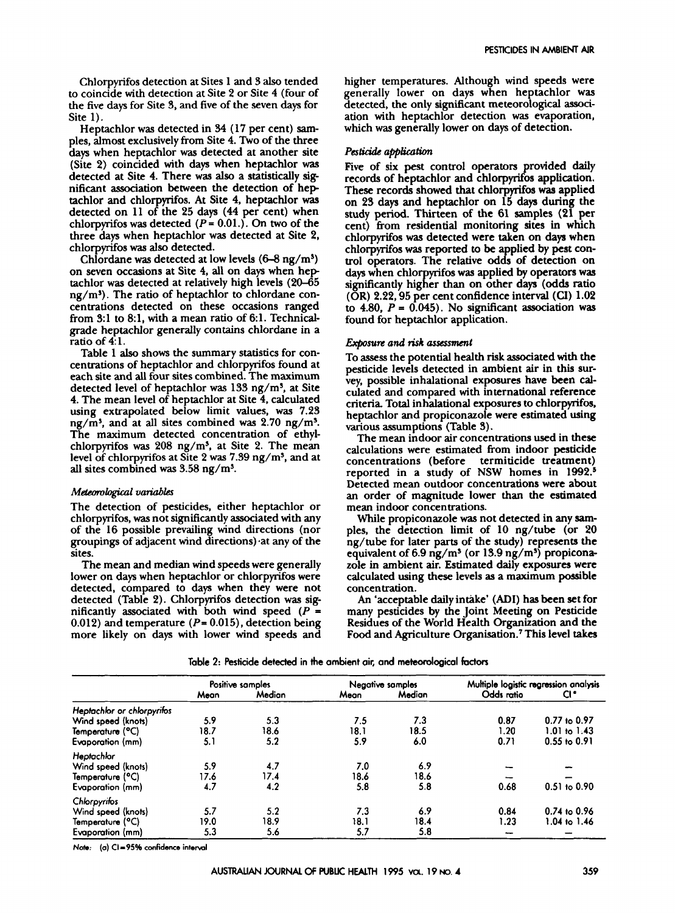Chlorpyrifos detection at Sites **1** and 3 also tended to coincide with detection at Site **2** or Site **4** (four of the five days for Site **3,** and five of the seven **days** for Site **1).** 

Heptachlor was detected in **34 (17** per cent) *sam*ples, almost exclusively from Site **4. Two** of the three days when heptachlor was detected at another site (Site **2)** coincided with **days** when heptachlor was detected at Site **4.** There was also a statistically *sig*nificant association between the detection of hep tachlor and chlorpyrifos. At Site **4,** heptachlor was detected on **11** of the **25** days **(44** per cent) when chlorpyrifos was detected  $(P = 0.01)$ . On two of the three days when heptachlor was detected at Site **2,**  chlorpyrifos was also detected.

Chlordane was detected at low levels  $(6-8 \text{ ng/m}^3)$ on seven occasions at Site **4,** all on days when hep tachlor was detected at relatively high levels **(20-65**   $ng/m<sup>3</sup>$ . The ratio of heptachlor to chlordane concentrations detected on these occasions ranged from **3:l** to **8:1,** with a mean ratio of **61.** Technicalgrade heptachlor generally contains chlordane in a ratio of **4: 1.** 

Table **1 also** shows the summary statistics for concentrations of heptachlor and chlorpyrifos found at each site and all four sites combined. The maximum detected level of heptachlor was **133** ng/ms, at Site **4.** The mean level of heptachlor at Site **4.** calculated using extrapolated below limit values, was **7.23**  ng/ms, and at all sites combined was **2.70** ng/ms. The maximum detected concentration of ethylchlorpyrifos was **208** ng/ms, at Site **2.** The mean level of chlorpyrifos at Site **2** was **7.39** ng/ms, and at all sites combined was **3.58** ng/ms.

#### *MetGorologiGal variables*

The detection of pesticides, either heptachlor or chlorpyrifos, was not significantly associated with any of the **16** possible prevailing wind directions (nor groupings of adjacent wind directions) at any of the sites.

The mean and median wind speeds were generally lower on days when heptachlor or chlorpyrifos were detected, compared to **days** when they were not detected (Table **2).** Chlorpyrifos detection was significantly associated with both wind speed  $(P =$ **0.012)** and temperature (P= **0.015),** detection being more likely on days with lower wind speeds and

higher temperatures. Although wind speeds were generally lower on days when heptachlor was detected, the only significant meteorological association with heptachlor detection was evaporation, which was generally lower on days of detection.

#### *Pesticide application*

Five of six pest control **operators** provided daily records of heptachlor and chlorpyrifos application. These records showed that chlorpyrifos **was** applied on **23** days and heptachlor on **15 days** during the study **period.** Thirteen of the **61** samples **(21** per cent) from residential monitoring sites in which chlorpyrifos **was** detected were taken on days when chlorpyrifos was reported to be applied by pest condays when chlorpyrifos was applied by operators was (OR) **2.22,95** per cent confidence interval *(CI)* **1.02**  to  $4.80$ ,  $P = 0.045$ . No significant association was found for heptachlor application. trol operators. The relative odds of detection on significantly higher than on other days (odds ratio

#### *Exposure and risk assessment*

To **assess** the potential health **risk** associated with the pesticide levels detected in ambient air in this survey, possible inhalational exposures have been calculated and compared with international reference criteria Total inhalational exposures to chlorpyifos, heptachlor and propiconazole were estimated using **various** assumptions (Table **3).** 

The mean indoor air concentrations used in these calculations were estimated from indoor pesticide concentrations (before termiticide treatment) reported in a study of **NSW** homes in **1992.5**  Detected mean outdoor concentrations were about an order of magnitude lower than the estimated mean indoor concentrations.

While propiconazole was not detected in any **sam**ples, the detection limit of **10** ng/tube (or **20**  ng/tube for later parts of the study) represents the equivalent of **6.9** ng/ms (or **13.9** ng/ms) propiconazole in ambient air. Estimated daily exposures were calculated using these levels **as** a maximum possible concentration.

*An* 'acceptable daily intake' **(ADI)** has been set for many pesticides by the Joint Meeting on Pesticide Residues of the World Health Organization and the **Food** and Agriculture Organisation.' This level takes

|                            | Positive samples |        |      | Negative samples | Multiple logistic regression analysis |                  |  |  |
|----------------------------|------------------|--------|------|------------------|---------------------------------------|------------------|--|--|
|                            | Mean             | Median | Mean | Median           | Odds ratio                            | CI "             |  |  |
| Heptachlor or chlorpyrifos |                  |        |      |                  |                                       |                  |  |  |
| Wind speed (knots)         | 5.9              | 5.3    | 7.5  | 7.3              | 0.87                                  | 0.77 to 0.97     |  |  |
| Temperature (°C)           | 18.7             | 18.6   | 18.1 | 18.5             | 1.20                                  | $1.01$ to $1.43$ |  |  |
| Evaporation (mm)           | 5.1              | 5.2    | 5.9  | 6.0              | 0.71                                  | $0.55$ to $0.91$ |  |  |
| Heptachlor                 |                  |        |      |                  |                                       |                  |  |  |
| Wind speed (knots)         | 5.9              | 4.7    | 7.0  | 6.9              |                                       |                  |  |  |
| Temperature (°C)           | 17.6             | 17.4   | 18.6 | 18.6             |                                       |                  |  |  |
| Evaporation (mm)           | 4.7              | 4.2    | 5.8  | 5.8              | 0.68                                  | $0.51$ to $0.90$ |  |  |
| Chlorpyritos               |                  |        |      |                  |                                       |                  |  |  |
| Wind speed (knots)         | 5.7              | 5.2    | 7.3  | 6.9              | 0.84                                  | $0.74$ to $0.96$ |  |  |
| Temperature (°C)           | 19.0             | 18.9   | 18.1 | 18.4             | 1.23                                  | 1.04 to 1.46     |  |  |
| Evaporation (mm)           | 5.3              | 5.6    | 5.7  | 5.8              |                                       |                  |  |  |

**Table 2: Pesticide detected in the ambient air, and meteorological foctorz** 

**Nots: (a) C1-95% confidence interwl**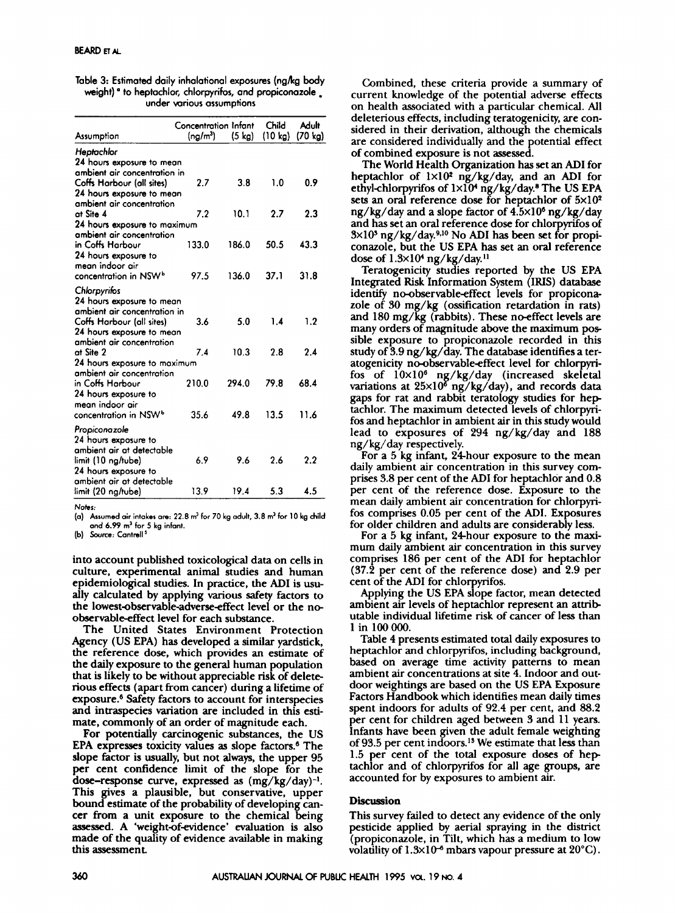| Table 3: Estimated daily inhalational exposures (ng/kg body         |
|---------------------------------------------------------------------|
| weight) <sup>a</sup> to heptochlor, chlorpyrifos, and propiconazole |
| under various assumptions                                           |

|                                                        |                                                                                                                                                                                                                                                                                                                                                                      | Child                                                                         | Adult<br>$(70 \text{ kg})$                 |
|--------------------------------------------------------|----------------------------------------------------------------------------------------------------------------------------------------------------------------------------------------------------------------------------------------------------------------------------------------------------------------------------------------------------------------------|-------------------------------------------------------------------------------|--------------------------------------------|
|                                                        |                                                                                                                                                                                                                                                                                                                                                                      |                                                                               |                                            |
|                                                        |                                                                                                                                                                                                                                                                                                                                                                      |                                                                               |                                            |
|                                                        |                                                                                                                                                                                                                                                                                                                                                                      |                                                                               |                                            |
|                                                        |                                                                                                                                                                                                                                                                                                                                                                      |                                                                               | 0.9                                        |
|                                                        |                                                                                                                                                                                                                                                                                                                                                                      |                                                                               |                                            |
|                                                        |                                                                                                                                                                                                                                                                                                                                                                      |                                                                               |                                            |
|                                                        |                                                                                                                                                                                                                                                                                                                                                                      |                                                                               | 2.3                                        |
|                                                        |                                                                                                                                                                                                                                                                                                                                                                      |                                                                               |                                            |
| ambient air concentration                              |                                                                                                                                                                                                                                                                                                                                                                      |                                                                               |                                            |
|                                                        | 186.0                                                                                                                                                                                                                                                                                                                                                                | 50.5                                                                          | 43.3                                       |
|                                                        |                                                                                                                                                                                                                                                                                                                                                                      |                                                                               |                                            |
|                                                        |                                                                                                                                                                                                                                                                                                                                                                      |                                                                               |                                            |
| 97.5                                                   | 136.0                                                                                                                                                                                                                                                                                                                                                                | 37.1                                                                          | 31.8                                       |
|                                                        |                                                                                                                                                                                                                                                                                                                                                                      |                                                                               |                                            |
|                                                        |                                                                                                                                                                                                                                                                                                                                                                      |                                                                               |                                            |
|                                                        |                                                                                                                                                                                                                                                                                                                                                                      |                                                                               |                                            |
|                                                        |                                                                                                                                                                                                                                                                                                                                                                      |                                                                               | 1.2                                        |
|                                                        |                                                                                                                                                                                                                                                                                                                                                                      |                                                                               |                                            |
|                                                        |                                                                                                                                                                                                                                                                                                                                                                      |                                                                               |                                            |
|                                                        |                                                                                                                                                                                                                                                                                                                                                                      |                                                                               | 2.4                                        |
|                                                        |                                                                                                                                                                                                                                                                                                                                                                      |                                                                               |                                            |
| ambient air concentration                              |                                                                                                                                                                                                                                                                                                                                                                      |                                                                               |                                            |
| 210.0                                                  | 294.0                                                                                                                                                                                                                                                                                                                                                                | 79.8                                                                          | 68.4                                       |
|                                                        |                                                                                                                                                                                                                                                                                                                                                                      |                                                                               |                                            |
|                                                        |                                                                                                                                                                                                                                                                                                                                                                      |                                                                               |                                            |
| 35.6                                                   | 49.8                                                                                                                                                                                                                                                                                                                                                                 | 13.5                                                                          | 11.6                                       |
|                                                        |                                                                                                                                                                                                                                                                                                                                                                      |                                                                               |                                            |
|                                                        |                                                                                                                                                                                                                                                                                                                                                                      |                                                                               |                                            |
|                                                        |                                                                                                                                                                                                                                                                                                                                                                      |                                                                               |                                            |
|                                                        |                                                                                                                                                                                                                                                                                                                                                                      |                                                                               | 2.2                                        |
|                                                        |                                                                                                                                                                                                                                                                                                                                                                      |                                                                               |                                            |
|                                                        |                                                                                                                                                                                                                                                                                                                                                                      |                                                                               |                                            |
| 13.9                                                   | 19.4                                                                                                                                                                                                                                                                                                                                                                 | 5.3                                                                           | 4.5                                        |
| ambient air at detectable<br>ambient air at detectable | $(ng/m^3)$<br>24 hours exposure to mean<br>ambient air concentration in<br>2.7<br>24 hours exposure to mean<br>ambient air concentration<br>7.2<br>24 hours exposure to maximum<br>133.0<br>24 hours exposure to mean<br>ambient air concentration in<br>3.6<br>24 hours exposure to mean<br>ambient air concentration<br>7.4<br>24 hours exposure to maximum<br>6.9 | Concentration Infant<br>$(5 \text{ kg})$<br>3.8<br>10.1<br>5.0<br>10.3<br>9.6 | (10 kg)<br>1.0<br>2.7<br>1.4<br>2.8<br>2.6 |

**Notes:** 

**(a) Assumed air intakes are: 22.8** rn' **for 70 kg adult, 3.8 m3 for 10 kg child and** *6.99* **m' for 5 kg infant.** 

**(b)** *Source:* **Cantrell'** 

into account published toxicological data on cells in culture, experimental animal studies and human epidemiological studies. In practice, the **AD1** is usually calculated by applying **various** safety factors to the **lowest-bservable-adverse-effect** level or the noobservable-effect level for each substance.

The United States Environment Protection Agency (US EPA) has developed a similar yardstick, the reference dose, which provides an estimate of the daily exposure to the general human population that is likely to be without appreciable risk of deleterious effects (apart from cancer) during a lifetime of exposure.6 Safety factors to account for interspecies and intraspecies variation are included in this estimate, commonly of an order of magnitude each.

For potentially carcinogenic substances, the **US**  EPA expresses toxicity values **as** slope factors? The slope Eactor is usually, but not **always,** the upper **95**  per cent confidence limit of the slope for the dose-response curve, expressed **as** (mg/kg/day)-'. This gives a plausible, but conservative, upper bound estimate of the probability of developing cancer from a unit exposure to the chemical being assessed. A 'weight-of-evidence' evaluation is also made of the quality of evidence available in making this assessment.

Combined, these criteria provide a summary of current knowledge of the potential adverse effects on health associated with a particular chemical. All deleterious effects, including teratogenicity, are considered in their derivation, although the chemicals are considered individually and the potential effect of combined exposure is not assessed.

The World Health Organization has set **an** AD1 for heptachlor of **1x104** ng/kg/day, and an AD1 for ethylchlorpyrifos of **1x104** ng/kg/day.8 The **US** EPA **sets** an oral reference dose for heptachlor of **5x104**  ng/kg/day and a slope factor of **4.5~10~** ng/kg/day and has set an oral reference dose for chlorpyrifos of  $3 \times 10^3$  ng/kg/day.<sup>9,10</sup> No ADI has been set for propiconazole, but the US EPA has set an **oral** reference dose of **1.3~104** ng/kg/day."

Teratogenicity studies reported by the US EPA Integrated Risk Information System (IRIS) database identify no-observable-effect levels for propiconazole of 30 mg/kg (ossification retardation in rats) and **180** mg/kg (rabbits). These noeffect levels are many orders of magnitude above the maximum **pos**  sible exposure to propiconazole recorded in this study of 3.9 ng/kg/day. The database identifies a teratogenicity no-observable-effect level for chlorpyrifos of  $10\times10^6$  ng/kg/day (increased skeletal variations at 25×10<sup>8</sup> ng/kg/day), and records data gaps for rat and rabbit teratology studies for hep tachlor. The maximum detected levels of chlorpyrifos and heptachlor in ambient air in this study would lead to exposures of 294 ng/kg/day and **188**  ng/kg/day respectively.

For a **5** kg infant, 24hour exposure to the mean daily ambient air concentration in this survey comprises 3.8 per cent of the **AD1** for heptachlor and **0.8**  per cent of the reference dose. Exposure to the mean daily ambient air concentration for chlorpyrifos comprises **0.05** per cent of the ADI. Exposures for older children and adults are considerably less.

For a **5** kg infant, 24hour exposure to the maximum daily ambient air concentration in this survey comprises **186** per cent of the **AD1** for heptachlor (37.2 per cent of the reference dose) and **2.9** per cent of the **AD1** for chlorpyrifos.

Applying the **US** EPA slope factor, mean detected ambient air levels of heptachlor represent an attrib utable individual lifetime risk of cancer of less than **1** in **1OOOOO.** 

Table 4 presents estimated total daily exposures to heptachlor and chlorpyrifos, including background, based on average time activity patterns to mean ambient air concentrations at site 4. Indoor and outdoor weightings are based on the **US** EPA Exposure Factors Handbook which identifies mean daily times spent indoors for adults of 92.4 per cent, and **88.2**  per cent for children aged between 3 and **11** years. Infants have been given the adult female weighting of 93.5 per cent indoors." We estimate that less than **1.5** per cent of the total exposure doses of hep tachlor and of chlorpyrifos for all age groups, are accounted for by exposures to ambient air.

#### **Discussion**

This survey failed to detect any evidence of the only pesticide applied by aerial spraying in the district (propiconazole, in Tilt, which has a medium to low volatility of  $1.3 \times 10^{-6}$  mbars vapour pressure at  $20^{\circ}$ C).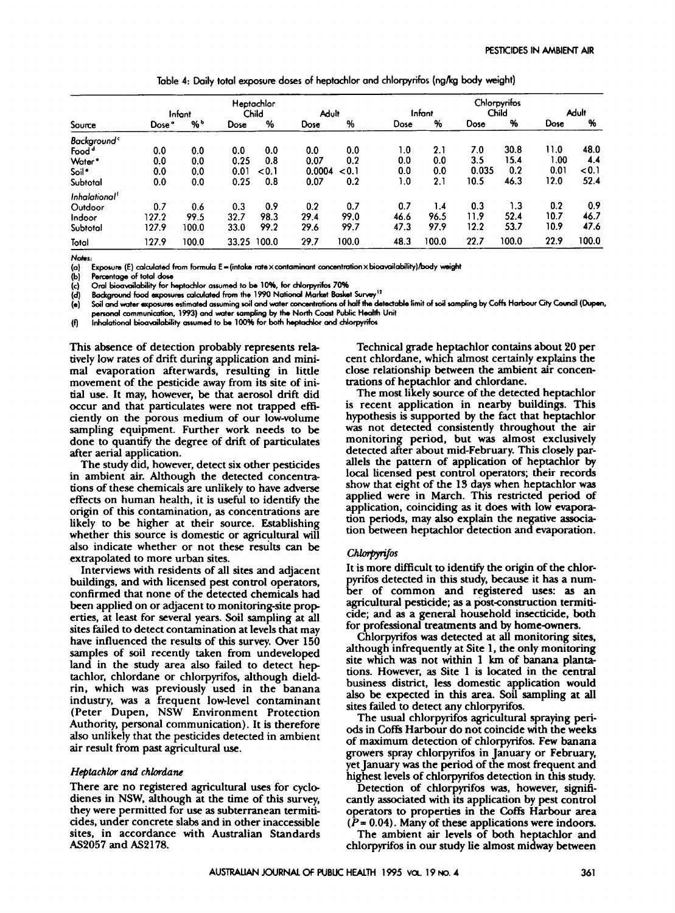|                           |        |        |       | Heptachlor |        | Chlorpyrifos |      |        |       |       |             |              |
|---------------------------|--------|--------|-------|------------|--------|--------------|------|--------|-------|-------|-------------|--------------|
|                           |        | Infant |       | Child      | Adult  |              |      | Infant |       | Child |             | <b>Adult</b> |
| Source                    | Dose ° | % ∿    | Dose  | %          | Dose   | %            | Dose | %      | Dose  | %     | <b>Dose</b> | %            |
| Background <sup>c</sup>   |        |        |       |            |        |              |      |        |       |       |             |              |
| Food <sup>d</sup>         | 0.0    | 0.0    | 0.0   | 0.0        | 0.0    | 0.0          | 1.0  | 2.1    | 7.0   | 30.8  | 11.0        | 48.0         |
| Water <sup>*</sup>        | 0.0    | 0.0    | 0.25  | 0.8        | 0.07   | 0.2          | 0.0  | 0.0    | 3.5   | 15.4  | 1.00        | 4.4          |
| Soil •                    | 0.0    | 0.0    | 0.01  | < 0.1      | 0.0004 | < 0.1        | 0.0  | 0.0    | 0.035 | 0.2   | 0.01        | < 0.1        |
| Subtotal                  | 0.0    | 0.0    | 0.25  | 0.8        | 0.07   | 0.2          | 1.0  | 2.1    | 10.5  | 46.3  | 12.0        | 52.4         |
| Inhalational <sup>1</sup> |        |        |       |            |        |              |      |        |       |       |             |              |
| Outdoor                   | 0.7    | 0.6    | 0.3   | 0.9        | 0.2    | 0.7          | 0.7  | 1.4    | 0.3   | 1.3   | 0.2         | 0.9          |
| Indoor                    | 127.2  | 99.5   | 32.7  | 98.3       | 29.4   | 99.0         | 46.6 | 96.5   | 11.9  | 52.4  | 10.7        | 46.7         |
| Subtotal                  | 127.9  | 100.0  | 33.0  | 99.2       | 29.6   | 99.7         | 47.3 | 97.9   | 12.2  | 53.7  | 10.9        | 47.6         |
| Total                     | 127.9  | 100.0  | 33.25 | 100.0      | 29.7   | 100.0        | 48.3 | 100.0  | 22.7  | 100.0 | 22.9        | 100.0        |

**Table 4: Daily total exposure doses of heptachlor and chlorpyrifos (ngkg body weight)** 

*Notes:* 

Exposure (E) calculated from formula E=(intake rate×contaminant concentration×bioavailability)/body weight

**(a) (b) Percentage of total dore** 

**(c) Om1 bioovoilability for hoptachlor assumed to** be **1096.** for **chlorpyrifor 70%** 

**(d) Background food exposures calculated from the 1990 National Market Basket Survey<sup>12</sup>** 

**(a)**  Soil and water exposures estimated assuming soil and water concentrations of half the detectable limit of soil sampling by Coffs Harbour City Council (Dupen, personal communication, 1993) and water sampling by the North Coast Public Health Unit

**(r)**  Inhalational bioavailability assumed to be 100% for both heptachlor and chlorpyrifos

This absence of detection probably represents relatively low rates of drift during application and minimal evaporation afterwards, resulting in little movement of the pesticide away from its site of initial use. It may, however, be that aerosol drift did occur and that particulates were not trapped efficiently on the porous medium of our low-volume sampling equipment. Further work needs to be done to quantify the degree of drift of particulates after aerial application.

The study did, however, detect six other pesticides in ambient air. Although the detected concentrations of these chemicals are unlikely to have adverse effects on human health, it is useful to identify the origin of this contamination, **as** concentrations are likely to be higher at their source. Establishing whether this source is domestic or agricultural will also indicate whether or not these results can be extrapolated to more urban sites.

Interviews with residents of all sites and adjacent buildings, and with licensed pest control operators, confirmed that none of the detected chemicals had been applied on or adjacent to monitoring-site prop erties, at least for several years. Soil sampling at all sites failed to detect contamination at levels that may have influenced the results of this survey. Over **150**  samples of soil recently taken from undeveloped land in the study area also failed to detect hep tachlor, chlordane or chlorpyrifos, although dieldrin, which was previously used in the banana industry, was a frequent low-level contaminant (Peter Dupen, **NSW** Environment Protection Authority, personal communication). It is therefore also unlikely that the pesticides detected in ambient air result from past agricultural use.

#### *Heptuchlor* and chlordane

There are no registered agricultural **uses** for cyclodienes in **NSW,** although at the time of this survey, they were permitted for use **as** subterranean termiticides, under concrete slabs and in other inaccessible sites, in accordance with Australian Standards **AS2057** and **AS2178.** 

Technical grade heptachlor contains about **20** per cent chlordane, which almost certainly explains the close relationship between the ambient air concentrations of heptachlor and chlordane.

The most likely source of the detected heptachlor is recent application in nearby buildings. This hypothesis is supported by the fact that heptachlor was not detected consistently throughout the **air**  monitoring period, but was almost exclusively detected after about mid-February. **This** closely parallels the pattern of application of heptachlor **by**  local licensed pest control operators; their records show that eight of the **IS** days when heptachlor was applied were in March. This restricted period of application, coinciding **as** it does with low evaporation periods, may **also** explain the negative association between heptachlor detection and evaporation.

#### *Chlotgynfos*

It is more difficult to identify the origin of the chlorpyrifos detected in this study, because it has a number of common and registered uses: **as** an agricultural pesticide; **as** a postconstruction termiticide; and **as** a general household insecticide, **both**  for professional treatments and by home-owners.

Chlorpyrifos was detected at all monitoring sites, although infrequently at Site **1,** the only monitoring site which was not within **1 km** of banana plantations. However, **as** Site **1** is located in the central business district, less domestic application would also be expected in this area. Soil sampling at all sites failed to detect any chlorpyrifos.

The usual chlorpyrifos agricultural spraying peri*ods* in Coffi Harbour do not coincide with the weeks of maximum detection **of** chlorpyrifos. Few banana growers spray chlorpynfos in January or February, yet January was the period of the most frequent and highest levels of chlorpyrifos detection in this study.

Detection of chlorpyrifos was, however, significantly associated with its application by pest control operators to properties in the Coffk Harbour area  $(P = 0.04)$ . Many of these applications were indoors.

The ambient air levels of both heptachlor and chlorpyrifos in our study lie almost midway between